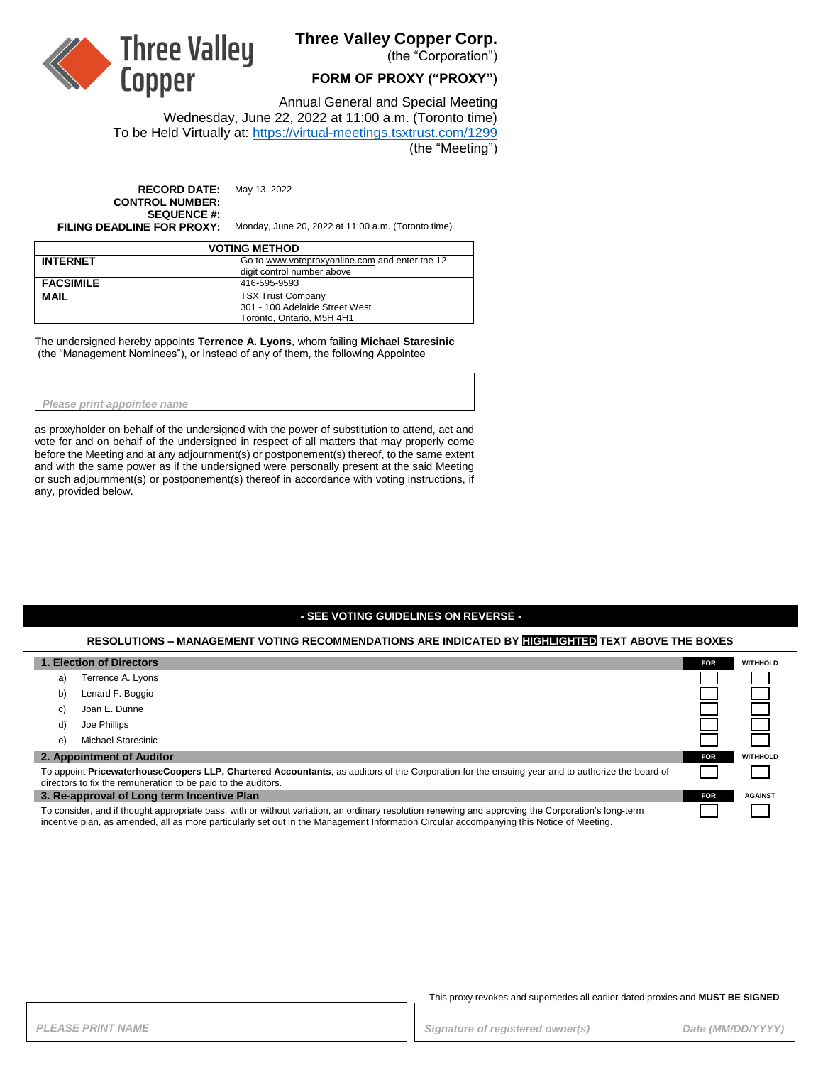

# **Three Valley Copper Corp.**

(the "Corporation")

### **FORM OF PROXY ("PROXY")**

Annual General and Special Meeting

Wednesday, June 22, 2022 at 11:00 a.m. (Toronto time) To be Held Virtually at: <https://virtual-meetings.tsxtrust.com/1299> (the "Meeting")

**RECORD DATE:** May 13, 2022 **CONTROL NUMBER: SEQUENCE #:**

**FILING DEADLINE FOR PROXY:** Monday, June 20, 2022 at 11:00 a.m. (Toronto time)

| <b>VOTING METHOD</b> |                                                |  |
|----------------------|------------------------------------------------|--|
| <b>INTERNET</b>      | Go to www.voteproxyonline.com and enter the 12 |  |
|                      | digit control number above                     |  |
| <b>FACSIMILE</b>     | 416-595-9593                                   |  |
| <b>MAIL</b>          | <b>TSX Trust Company</b>                       |  |
|                      | 301 - 100 Adelaide Street West                 |  |
|                      | Toronto, Ontario, M5H 4H1                      |  |

The undersigned hereby appoints **Terrence A. Lyons**, whom failing **Michael Staresinic** (the "Management Nominees"), or instead of any of them, the following Appointee

#### *Please print appointee name*

as proxyholder on behalf of the undersigned with the power of substitution to attend, act and vote for and on behalf of the undersigned in respect of all matters that may properly come before the Meeting and at any adjournment(s) or postponement(s) thereof, to the same extent and with the same power as if the undersigned were personally present at the said Meeting or such adjournment(s) or postponement(s) thereof in accordance with voting instructions, if any, provided below.

### **- SEE VOTING GUIDELINES ON REVERSE -**

#### **RESOLUTIONS – MANAGEMENT VOTING RECOMMENDATIONS ARE INDICATED BY HIGHLIGHTED TEXT ABOVE THE BOXES**

| 1. Election of Directors                                                                                                                                                                                                                                                                       | <b>FOR</b> | <b>WITHHOLD</b> |
|------------------------------------------------------------------------------------------------------------------------------------------------------------------------------------------------------------------------------------------------------------------------------------------------|------------|-----------------|
| Terrence A. Lyons<br>a)                                                                                                                                                                                                                                                                        |            |                 |
| Lenard F. Boggio<br>b)                                                                                                                                                                                                                                                                         |            |                 |
| Joan E. Dunne<br>C)                                                                                                                                                                                                                                                                            |            |                 |
| Joe Phillips<br>d)                                                                                                                                                                                                                                                                             |            |                 |
| <b>Michael Staresinic</b><br>e)                                                                                                                                                                                                                                                                |            |                 |
| 2. Appointment of Auditor                                                                                                                                                                                                                                                                      | <b>FOR</b> | <b>WITHHOLD</b> |
| To appoint PricewaterhouseCoopers LLP, Chartered Accountants, as auditors of the Corporation for the ensuing year and to authorize the board of<br>directors to fix the remuneration to be paid to the auditors.                                                                               |            |                 |
| 3. Re-approval of Long term Incentive Plan                                                                                                                                                                                                                                                     | <b>FOR</b> | <b>AGAINST</b>  |
| To consider, and if thought appropriate pass, with or without variation, an ordinary resolution renewing and approving the Corporation's long-term<br>incentive plan, as amended, all as more particularly set out in the Management Information Circular accompanying this Notice of Meeting. |            |                 |

This proxy revokes and supersedes all earlier dated proxies and **MUST BE SIGNED**